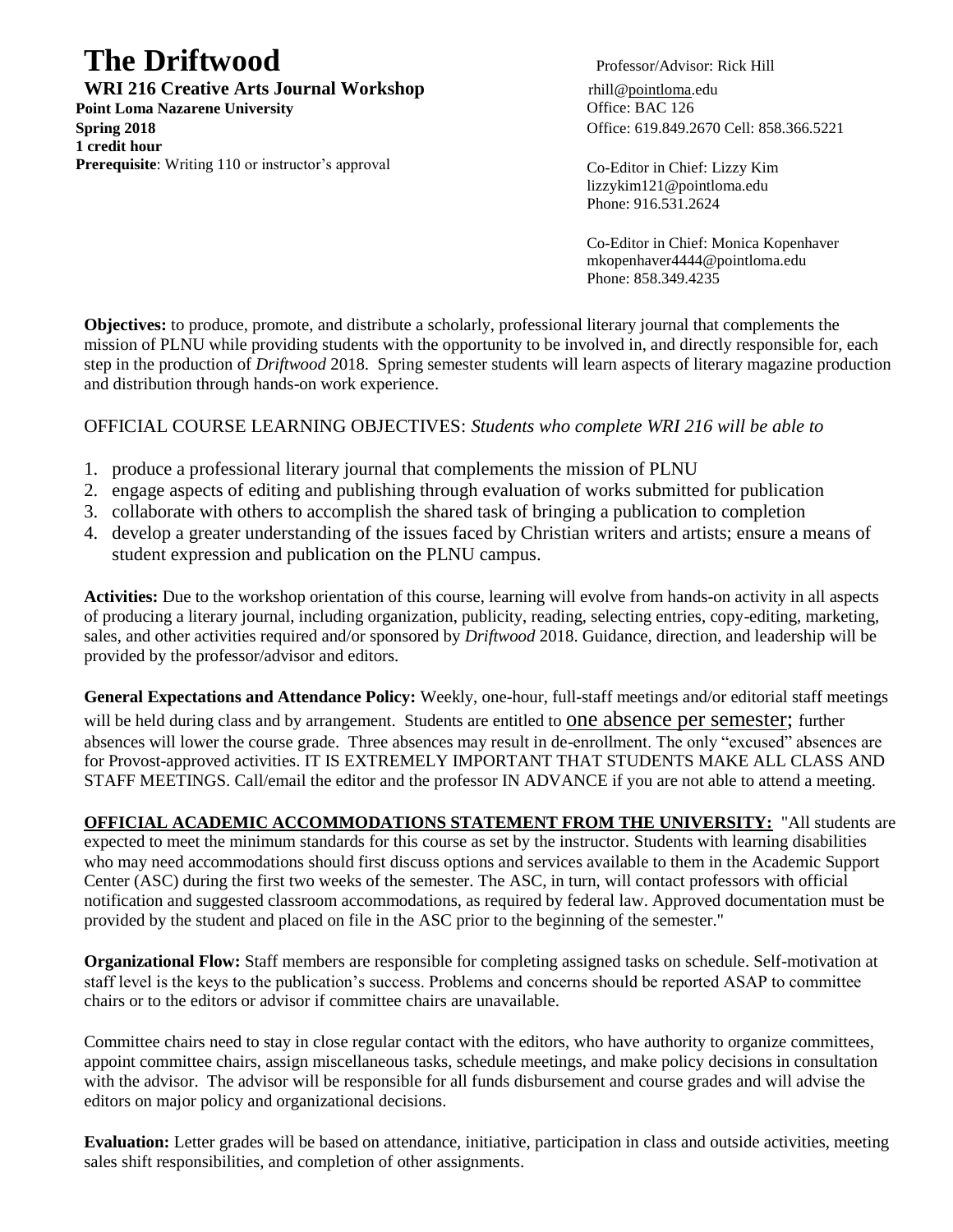# **The Driftwood** Professor/Advisor: Rick Hill

**WRI 216 Creative Arts Journal Workshop** rhill@pointloma.edu

**Point Loma Nazarene University Community Community Community Community Community Community Community Community Spring 2018** Office: 619.849.2670 Cell: 858.366.5221 **1 credit hour Prerequisite**: Writing 110 or instructor's approval Co-Editor in Chief: Lizzy Kim

lizzykim121@pointloma.edu Phone: 916.531.2624

Co-Editor in Chief: Monica Kopenhaver mkopenhaver4444@pointloma.edu Phone: 858.349.4235

**Objectives:** to produce, promote, and distribute a scholarly, professional literary journal that complements the mission of PLNU while providing students with the opportunity to be involved in, and directly responsible for, each step in the production of *Driftwood* 2018. Spring semester students will learn aspects of literary magazine production and distribution through hands-on work experience.

# OFFICIAL COURSE LEARNING OBJECTIVES: *Students who complete WRI 216 will be able to*

- 1. produce a professional literary journal that complements the mission of PLNU
- 2. engage aspects of editing and publishing through evaluation of works submitted for publication
- 3. collaborate with others to accomplish the shared task of bringing a publication to completion
- 4. develop a greater understanding of the issues faced by Christian writers and artists; ensure a means of student expression and publication on the PLNU campus.

**Activities:** Due to the workshop orientation of this course, learning will evolve from hands-on activity in all aspects of producing a literary journal, including organization, publicity, reading, selecting entries, copy-editing, marketing, sales, and other activities required and/or sponsored by *Driftwood* 2018. Guidance, direction, and leadership will be provided by the professor/advisor and editors.

**General Expectations and Attendance Policy:** Weekly, one-hour, full-staff meetings and/or editorial staff meetings will be held during class and by arrangement. Students are entitled to one absence per semester; further absences will lower the course grade. Three absences may result in de-enrollment. The only "excused" absences are for Provost-approved activities. IT IS EXTREMELY IMPORTANT THAT STUDENTS MAKE ALL CLASS AND STAFF MEETINGS. Call/email the editor and the professor IN ADVANCE if you are not able to attend a meeting.

**OFFICIAL ACADEMIC ACCOMMODATIONS STATEMENT FROM THE UNIVERSITY:** "All students are expected to meet the minimum standards for this course as set by the instructor. Students with learning disabilities who may need accommodations should first discuss options and services available to them in the Academic Support Center (ASC) during the first two weeks of the semester. The ASC, in turn, will contact professors with official notification and suggested classroom accommodations, as required by federal law. Approved documentation must be provided by the student and placed on file in the ASC prior to the beginning of the semester."

**Organizational Flow:** Staff members are responsible for completing assigned tasks on schedule. Self-motivation at staff level is the keys to the publication's success. Problems and concerns should be reported ASAP to committee chairs or to the editors or advisor if committee chairs are unavailable.

Committee chairs need to stay in close regular contact with the editors, who have authority to organize committees, appoint committee chairs, assign miscellaneous tasks, schedule meetings, and make policy decisions in consultation with the advisor. The advisor will be responsible for all funds disbursement and course grades and will advise the editors on major policy and organizational decisions.

**Evaluation:** Letter grades will be based on attendance, initiative, participation in class and outside activities, meeting sales shift responsibilities, and completion of other assignments.